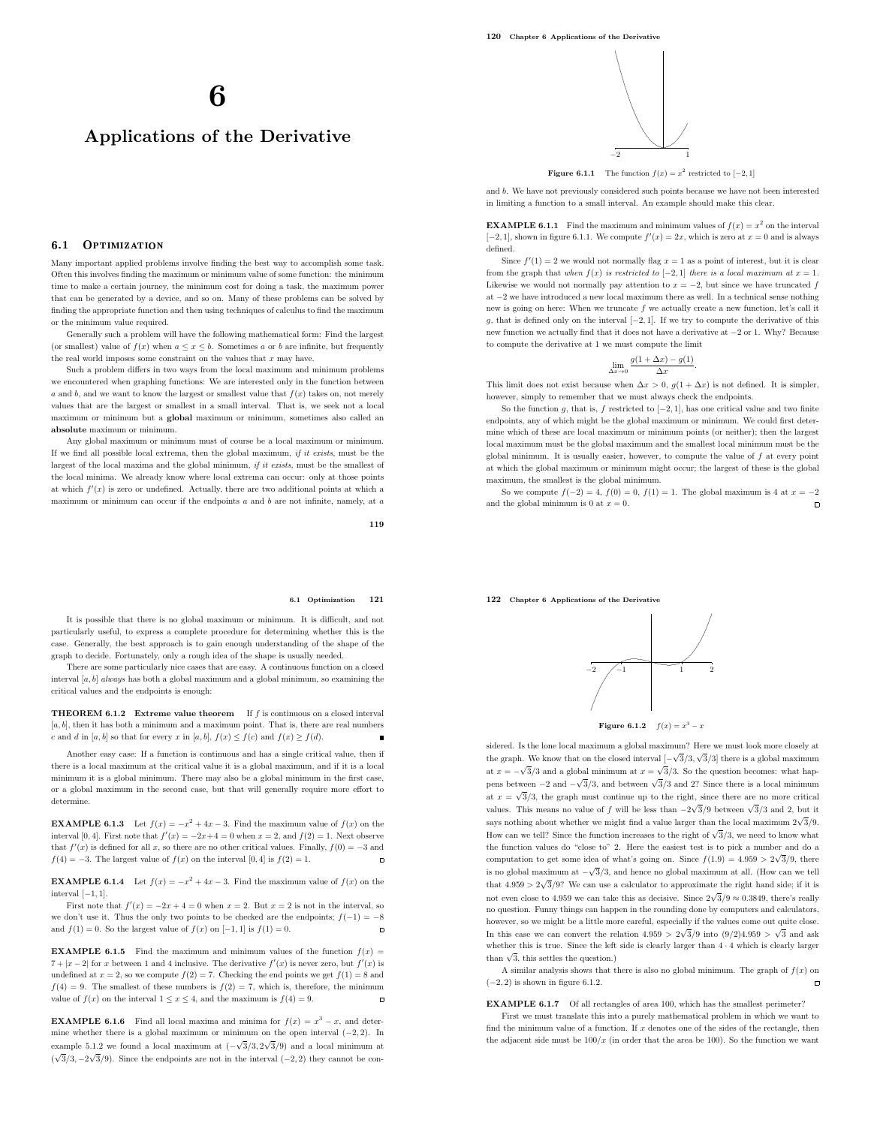# Applications of the Derivative

### 6.1 Optimization

Many important applied problems involve finding the best way to accomplish some task. Often this involves finding the maximum or minimum value of some function: the minimum time to make a certain journey, the minimum cost for doing a task, the maximum power that can be generated by a device, and so on. Many of these problems can be solved by finding the appropriate function and then using techniques of calculus to find the maximum or the minimum value required.

Generally such a problem will have the following mathematical form: Find the largest (or smallest) value of  $f(x)$  when  $a \leq x \leq b$ . Sometimes a or b are infinite, but frequently the real world imposes some constraint on the values that  $x$  may have.

Such a problem differs in two ways from the local maximum and minimum problems we encountered when graphing functions: We are interested only in the function between a and b, and we want to know the largest or smallest value that  $f(x)$  takes on, not merely values that are the largest or smallest in a small interval. That is, we seek not a local maximum or minimum but a global maximum or minimum, sometimes also called an absolute maximum or minimum.

Any global maximum or minimum must of course be a local maximum or minimum. If we find all possible local extrema, then the global maximum, if it exists, must be the largest of the local maxima and the global minimum, if it exists, must be the smallest of the local minima. We already know where local extrema can occur: only at those points at which  $f'(x)$  is zero or undefined. Actually, there are two additional points at which a maximum or minimum can occur if the endpoints a and b are not infinite, namely, at a

119

#### 6.1 Optimization 121

It is possible that there is no global maximum or minimum. It is difficult, and not particularly useful, to express a complete procedure for determining whether this is the case. Generally, the best approach is to gain enough understanding of the shape of the graph to decide. Fortunately, only a rough idea of the shape is usually needed.

There are some particularly nice cases that are easy. A continuous function on a closed interval [a, b] always has both a global maximum and a global minimum, so examining the critical values and the endpoints is enough:

**THEOREM 6.1.2** Extreme value theorem If  $f$  is continuous on a closed interval  $[a, b]$ , then it has both a minimum and a maximum point. That is, there are real numbers c and d in [a, b] so that for every x in [a, b],  $f(x) \le f(c)$  and  $f(x) \ge f(d)$ .

Another easy case: If a function is continuous and has a single critical value, then if there is a local maximum at the critical value it is a global maximum, and if it is a local minimum it is a global minimum. There may also be a global minimum in the first case, or a global maximum in the second case, but that will generally require more effort to determine.

**EXAMPLE 6.1.3** Let  $f(x) = -x^2 + 4x - 3$ . Find the maximum value of  $f(x)$  on the interval [0, 4]. First note that  $f'(x) = -2x+4 = 0$  when  $x = 2$ , and  $f(2) = 1$ . Next observe that  $f'(x)$  is defined for all x, so there are no other critical values. Finally,  $f(0) = -3$  and  $f(4) = -3$ . The largest value of  $f(x)$  on the interval  $[0, 4]$  is  $f(2) = 1$ .

**EXAMPLE 6.1.4** Let  $f(x) = -x^2 + 4x - 3$ . Find the maximum value of  $f(x)$  on the interval  $[-1, 1]$ .

First note that  $f'(x) = -2x + 4 = 0$  when  $x = 2$ . But  $x = 2$  is not in the interval, so we don't use it. Thus the only two points to be checked are the endpoints;  $f(-1) = -8$ <br>and  $f(1) = 0$ . So the largest value of  $f(x)$  on [−1, 1] is  $f(1) = 0$ . and  $f(1) = 0$ . So the largest value of  $f(x)$  on  $[-1, 1]$  is  $f(1) = 0$ .

**EXAMPLE 6.1.5** Find the maximum and minimum values of the function  $f(x) =$ 7 + |x − 2| for x between 1 and 4 inclusive. The derivative  $f'(x)$  is never zero, but  $f'(x)$  is undefined at  $x = 2$ , so we compute  $f(2) = 7$ . Checking the end points we get  $f(1) = 8$  and  $f(4) = 9$ . The smallest of these numbers is  $f(2) = 7$ , which is, therefore, the minimum value of  $f(x)$  on the interval  $1 \leq x \leq 4$ , and the maximum is  $f(4) = 9$ .  $\overline{a}$ 

**EXAMPLE 6.1.6** Find all local maxima and minima for  $f(x) = x^3 - x$ , and determine whether there is a global maximum or minimum on the open interval  $(-2, 2)$ . In example 5.1.2 we found a local maximum at  $(-\sqrt{3}/3, 2\sqrt{3}/9)$  and a local minimum at  $(\sqrt{3}/3, -2\sqrt{3}/9)$ . Since the endpoints are not in the interval (−2, 2) they cannot be con-



**Figure 6.1.1** The function  $f(x) = x^2$  restricted to  $[-2, 1]$ 

and b. We have not previously considered such points because we have not been interested in limiting a function to a small interval. An example should make this clear.

**EXAMPLE 6.1.1** Find the maximum and minimum values of  $f(x) = x^2$  on the interval  $[-2, 1]$ , shown in figure 6.1.1. We compute  $f'(x) = 2x$ , which is zero at  $x = 0$  and is always defined.

Since  $f'(1) = 2$  we would not normally flag  $x = 1$  as a point of interest, but it is clear from the graph that when  $f(x)$  is restricted to  $[-2, 1]$  there is a local maximum at  $x = 1$ . Likewise we would not normally pay attention to  $x = -2$ , but since we have truncated f at −2 we have introduced a new local maximum there as well. In a technical sense nothing new is going on here: When we truncate f we actually create a new function, let's call it g, that is defined only on the interval  $[-2, 1]$ . If we try to compute the derivative of this new function we actually find that it does not have a derivative at −2 or 1. Why? Because to compute the derivative at 1 we must compute the limit

$$
\lim_{\Delta x \to 0} \frac{g(1 + \Delta x) - g(1)}{\Delta x}.
$$

This limit does not exist because when  $\Delta x > 0$ ,  $g(1 + \Delta x)$  is not defined. It is simpler, however, simply to remember that we must always check the endpoints.

So the function g, that is, f restricted to  $[-2, 1]$ , has one critical value and two finite endpoints, any of which might be the global maximum or minimum. We could first determine which of these are local maximum or minimum points (or neither); then the largest local maximum must be the global maximum and the smallest local minimum must be the global minimum. It is usually easier, however, to compute the value of  $f$  at every point at which the global maximum or minimum might occur; the largest of these is the global maximum, the smallest is the global minimum.

So we compute  $f(-2) = 4$ ,  $f(0) = 0$ ,  $f(1) = 1$ . The global maximum is 4 at  $x = -2$  the global minimum is 0 at  $x = 0$ . and the global minimum is 0 at  $x = 0$ .

122 Chapter 6 Applications of the Derivative



sidered. Is the lone local maximum a global maximum? Here we must look more closely at the graph. We know that on the closed interval  $[-\sqrt{3}/3, \sqrt{3}/3]$  there is a global maximum at  $x = -\sqrt{3}/3$  and a global minimum at  $x = \sqrt{3}/3$ . So the question becomes: what happens between  $-2$  and  $-\sqrt{3}/3$ , and between  $\sqrt{3}/3$  and 2? Since there is a local minimum at  $x = \sqrt{3}/3$ , the graph must continue up to the right, since there are no more critical values. This means no value of f will be less than  $-2\sqrt{3}/9$  between  $\sqrt{3}/3$  and 2, but it says nothing about whether we might find a value larger than the local maximum  $2\sqrt{3}/9$ . How can we tell? Since the function increases to the right of  $\sqrt{3}/3$ , we need to know what the function values do "close to" 2. Here the easiest test is to pick a number and do a computation to get some idea of what's going on. Since  $f(1.9) = 4.959 > 2\sqrt{3}/9$ , there is no global maximum at  $-\sqrt{3}/3$ , and hence no global maximum at all. (How can we tell that  $4.959 > 2\sqrt{3}/9$ ? We can use a calculator to approximate the right hand side; if it is not even close to 4.959 we can take this as decisive. Since  $2\sqrt{3}/9 \approx 0.3849$ , there's really no question. Funny things can happen in the rounding done by computers and calculators, however, so we might be a little more careful, especially if the values come out quite close. In this case we can convert the relation  $4.959 > 2\sqrt{3}/9$  into  $(9/2)4.959 > \sqrt{3}$  and ask whether this is true. Since the left side is clearly larger than 4 · 4 which is clearly larger than  $\sqrt{3}$ , this settles the question.)

A similar analysis shows that there is also no global minimum. The graph of  $f(\boldsymbol{x})$  on  $(-2, 2)$  is shown in figure 6.1.2.  $\overline{a}$ 

EXAMPLE 6.1.7 Of all rectangles of area 100, which has the smallest perimeter?

First we must translate this into a purely mathematical problem in which we want to find the minimum value of a function. If  $x$  denotes one of the sides of the rectangle, then the adjacent side must be  $100/x$  (in order that the area be 100). So the function we want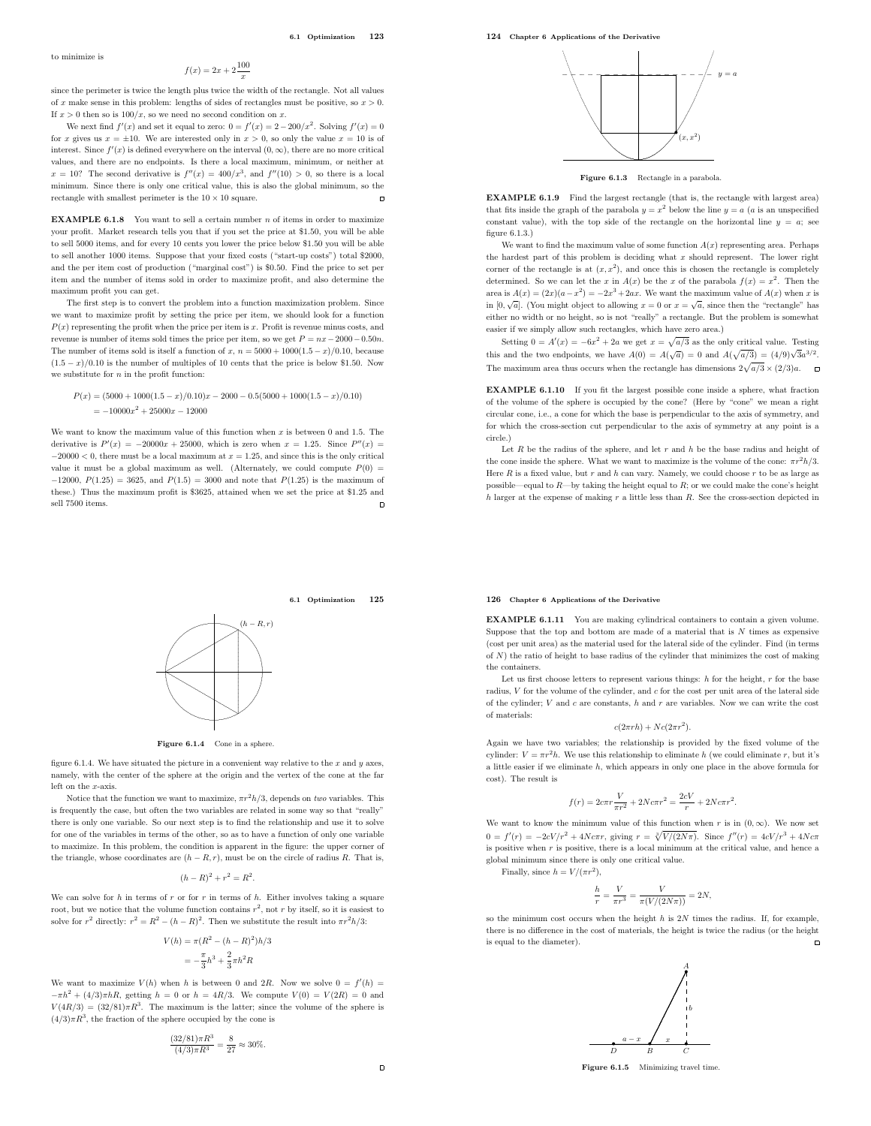$$
f(x) = 2x + 2\frac{100}{x}
$$

since the perimeter is twice the length plus twice the width of the rectangle. Not all values of x make sense in this problem: lengths of sides of rectangles must be positive, so  $x > 0$ . If  $x > 0$  then so is  $100/x$ , so we need no second condition on x.

We next find  $f'(x)$  and set it equal to zero:  $0 = f'(x) = 2 - 200/x^2$ . Solving  $f'(x) = 0$ for x gives us  $x = \pm 10$ . We are interested only in  $x > 0$ , so only the value  $x = 10$  is of interest. Since  $f'(x)$  is defined everywhere on the interval  $(0, \infty)$ , there are no more critical values, and there are no endpoints. Is there a local maximum, minimum, or neither at  $x = 10$ ? The second derivative is  $f''(x) = 400/x^3$ , and  $f''(10) > 0$ , so there is a local minimum. Since there is only one critical value, this is also the global minimum, so the rectangle with smallest perimeter is the  $10 \times 10$  square.  $\Box$ 

**EXAMPLE 6.1.8** You want to sell a certain number  $n$  of items in order to maximize your profit. Market research tells you that if you set the price at \$1.50, you will be able to sell 5000 items, and for every 10 cents you lower the price below \$1.50 you will be able to sell another 1000 items. Suppose that your fixed costs ("start-up costs") total \$2000, and the per item cost of production ("marginal cost") is \$0.50. Find the price to set per item and the number of items sold in order to maximize profit, and also determine the maximum profit you can get.

The first step is to convert the problem into a function maximization problem. Since want to maximize profit by setting the price per item, we should look for a function  $P(x)$  representing the profit when the price per item is x. Profit is revenue minus costs, and revenue is number of items sold times the price per item, so we get  $P = nx - 2000 - 0.50n$ . The number of items sold is itself a function of x,  $n = 5000 + 1000(1.5 - x)/0.10$ , because  $(1.5 - x)/0.10$  is the number of multiples of 10 cents that the price is below \$1.50. Now we substitute for  $n$  in the profit function:

 $P(x) = (5000 + 1000(1.5 - x)/0.10)x - 2000 - 0.5(5000 + 1000(1.5 - x)/0.10)$  $= -10000x^2 + 25000x - 12000$ 

We want to know the maximum value of this function when  $x$  is between 0 and 1.5. The derivative is  $P'(x) = -20000x + 25000$ , which is zero when  $x = 1.25$ . Since  $P''(x) =$  $-20000 < 0$ , there must be a local maximum at  $x = 1.25$ , and since this is the only critical value it must be a global maximum as well. (Alternately, we could compute  $P(0)$  =  $-12000, P(1.25) = 3625,$  and  $P(1.5) = 3000$  and note that  $P(1.25)$  is the maximum of these.) Thus the maximum profit is \$3625, attained when we set the price at \$1.25 and sell 7500 items.  $\Gamma$ 

6.1 Optimization 125



Figure 6.1.4 Cone in a sphere.

figure 6.1.4. We have situated the picture in a convenient way relative to the x and y axes, namely, with the center of the sphere at the origin and the vertex of the cone at the far left on the x-axis.

Notice that the function we want to maximize,  $\pi r^2 h/3$ , depends on *two* variables. This is frequently the case, but often the two variables are related in some way so that "really" there is only one variable. So our next step is to find the relationship and use it to solve for one of the variables in terms of the other, so as to have a function of only one variable to maximize. In this problem, the condition is apparent in the figure: the upper corner of the triangle, whose coordinates are  $(h - R, r)$ , must be on the circle of radius R. That is,

$$
(h - R)^2 + r^2 = R^2.
$$

We can solve for h in terms of r or for r in terms of h. Either involves taking a square root, but we notice that the volume function contains  $r^2$ , not r by itself, so it is easiest to solve for  $r^2$  directly:  $r^2 = R^2 - (h - R)^2$ . Then we substitute the result into  $\pi r^2 h/3$ :

$$
V(h) = \pi (R^2 - (h - R)^2)h/3
$$

$$
= -\frac{\pi}{3}h^3 + \frac{2}{3}\pi h^2 R
$$

We want to maximize  $V(h)$  when h is between 0 and 2R. Now we solve  $0 = f'(h)$  $-\pi h^2 + (4/3)\pi hR$ , getting  $h = 0$  or  $h = 4R/3$ . We compute  $V(0) = V(2R) = 0$  and  $V(4R/3) = (32/81)\pi R^3$ . The maximum is the latter; since the volume of the sphere is  $(4/3)\pi R^3$ , the fraction of the sphere occupied by the cone is

$$
\frac{(32/81)\pi R^3}{(4/3)\pi R^3} = \frac{8}{27} \approx 30\%.
$$



Figure 6.1.3 Rectangle in a parabola.

EXAMPLE 6.1.9 Find the largest rectangle (that is, the rectangle with largest area) that fits inside the graph of the parabola  $y = x^2$  below the line  $y = a$  (a is an unspecified constant value), with the top side of the rectangle on the horizontal line  $y = a$ ; see figure 6.1.3.)

We want to find the maximum value of some function  $A(x)$  representing area. Perhaps the hardest part of this problem is deciding what  $x$  should represent. The lower right corner of the rectangle is at  $(x, x^2)$ , and once this is chosen the rectangle is completely determined. So we can let the x in  $A(x)$  be the x of the parabola  $f(x) = x^2$ . Then the area is  $A(x) = (2x)(a - x^2) = -2x^3 + 2ax$ . We want the maximum value of  $A(x)$  when x is in [0,  $\sqrt{a}$ ]. (You might object to allowing  $x = 0$  or  $x = \sqrt{a}$ , since then the "rectangle" has either no width or no height, so is not "really" a rectangle. But the problem is somewhat easier if we simply allow such rectangles, which have zero area.)

Setting  $0 = A'(x) = -6x^2 + 2a$  we get  $x = \sqrt{a/3}$  as the only critical value. Testing this and the two endpoints, we have  $A(0) = A(\sqrt{a}) = 0$  and  $A(\sqrt{a/3}) = (4/9)\sqrt{3}a^{3/2}$ . The maximum area thus occurs when the rectangle has dimensions  $2\sqrt{a/3} \times (2/3)a$ .

EXAMPLE 6.1.10 If you fit the largest possible cone inside a sphere, what fraction of the volume of the sphere is occupied by the cone? (Here by "cone" we mean a right circular cone, i.e., a cone for which the base is perpendicular to the axis of symmetry, and for which the cross-section cut perpendicular to the axis of symmetry at any point is a circle.)

Let  $R$  be the radius of the sphere, and let  $r$  and  $h$  be the base radius and height of the cone inside the sphere. What we want to maximize is the volume of the cone:  $\pi r^2 h/3$ . Here  $R$  is a fixed value, but  $r$  and  $h$  can vary. Namely, we could choose  $r$  to be as large as possible—equal to R—by taking the height equal to R; or we could make the cone's height  $h$  larger at the expense of making  $r$  a little less than  $R$ . See the cross-section depicted in

# 126 Chapter 6 Applications of the Derivative

EXAMPLE 6.1.11 You are making cylindrical containers to contain a given volume. Suppose that the top and bottom are made of a material that is  $N$  times as expensive (cost per unit area) as the material used for the lateral side of the cylinder. Find (in terms of  $N$ ) the ratio of height to base radius of the cylinder that minimizes the cost of making the containers.

Let us first choose letters to represent various things:  $h$  for the height,  $r$  for the base radius, V for the volume of the cylinder, and c for the cost per unit area of the lateral side of the cylinder;  $V$  and  $c$  are constants,  $h$  and  $r$  are variables. Now we can write the cost of materials:

 $c(2\pi rh) + Nc(2\pi r^2)$ .

Again we have two variables; the relationship is provided by the fixed volume of the cylinder:  $V = \pi r^2 h$ . We use this relationship to eliminate h (we could eliminate r, but it's a little easier if we eliminate h, which appears in only one place in the above formula for cost). The result is

$$
f(r)=2c\pi r\frac{V}{\pi r^2}+2Nc\pi r^2=\frac{2cV}{r}+2Nc\pi r^2.
$$

We want to know the minimum value of this function when r is in  $(0, \infty)$ . We now set 0 = f'(r) = −2cV/r<sup>2</sup> + 4N cπr, giving r =  $\sqrt[3]{V/(2Nπ)}$ . Since f''(r) = 4cV/r<sup>3</sup> + 4N cπ is positive when  $r$  is positive, there is a local minimum at the critical value, and hence a global minimum since there is only one critical value.

Finally, since  $h = V/(\pi r^2)$ ,

$$
\frac{h}{r} = \frac{V}{\pi r^3} = \frac{V}{\pi (V/(2N\pi))} = 2N,
$$

so the minimum cost occurs when the height  $h$  is  $2N$  times the radius. If, for example, there is no difference in the cost of materials, the height is twice the radius (or the height is equal to the diameter).



Figure 6.1.5 Minimizing travel time.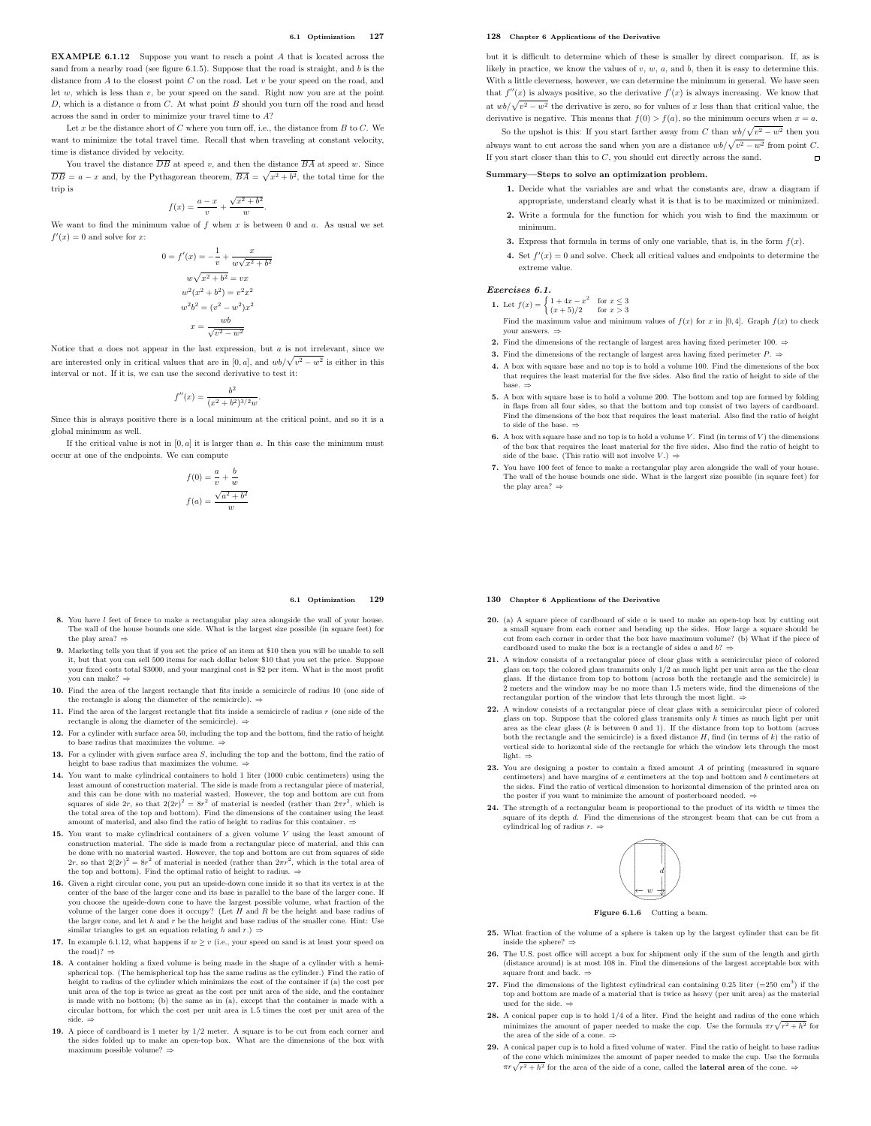EXAMPLE 6.1.12 Suppose you want to reach a point A that is located across the sand from a nearby road (see figure 6.1.5). Suppose that the road is straight, and  $b$  is the distance from A to the closest point C on the road. Let v be your speed on the road, and let w, which is less than  $v$ , be your speed on the sand. Right now you are at the point  $D$ , which is a distance  $a$  from  $C$ . At what point  $B$  should you turn off the road and head across the sand in order to minimize your travel time to  $A$ ?

Let  $x$  be the distance short of  $C$  where you turn off, i.e., the distance from  $B$  to  $C$ . We want to minimize the total travel time. Recall that when traveling at constant velocity, time is distance divided by velocity.

You travel the distance  $\overline{DB}$  at speed v, and then the distance  $\overline{BA}$  at speed w. Since  $\overline{DB} = a - x$  and, by the Pythagorean theorem,  $\overline{BA} = \sqrt{x^2 + b^2}$ , the total time for the trip is

$$
f(x) = \frac{a-x}{v} + \frac{\sqrt{x^2 + b^2}}{w}.
$$

We want to find the minimum value of  $f$  when  $x$  is between 0 and  $a$ . As usual we set  $f'(x) = 0$  and solve for x:

$$
0 = f'(x) = -\frac{1}{v} + \frac{x}{w\sqrt{x^2 + b^2}}
$$

$$
w\sqrt{x^2 + b^2} = vx
$$

$$
w^2(x^2 + b^2) = v^2x^2
$$

$$
w^2b^2 = (v^2 - w^2)x^2
$$

$$
x = \frac{wb}{\sqrt{v^2 - w^2}}
$$

Notice that  $a$  does not appear in the last expression, but  $a$  is not irrelevant, since we are interested only in critical values that are in  $[0, a]$ , and  $wb/\sqrt{v^2 - w^2}$  is either in this interval or not. If it is, we can use the second derivative to test it:

$$
f''(x) = \frac{b^2}{(x^2 + b^2)^{3/2}w}.
$$

Since this is always positive there is a local minimum at the critical point, and so it is a global minimum as well.

If the critical value is not in  $[0, a]$  it is larger than a. In this case the minimum must occur at one of the endpoints. We can compute

$$
f(0) = \frac{a}{v} + \frac{b}{w}
$$

$$
f(a) = \frac{\sqrt{a^2 + b^2}}{w}
$$

#### 6.1 Optimization 129

- 8. You have *l* feet of fence to make a rectangular play area alongside the wall of your house. The wall of the house bounds one side. What is the largest size possible (in square feet) for the play area? ⇒
- 9. Marketing tells you that if you set the price of an item at \$10 then you will be unable to sell it, but that you can sell 500 items for each dollar below \$10 that you set the price. Suppose your fixed costs total \$3000, and your marginal cost is \$2 per item. What is the most profit you can make? ⇒
- 10. Find the area of the largest rectangle that fits inside a semicircle of radius 10 (one side of the rectangle is along the diameter of the semicircle). ⇒
- 11. Find the area of the largest rectangle that fits inside a semicircle of radius  $r$  (one side of the rectangle is along the diameter of the semicircle). ⇒
- 12. For a cylinder with surface area 50, including the top and the bottom, find the ratio of height to base radius that maximizes the volume. ⇒
- 13. For a cylinder with given surface area  $S$ , including the top and the bottom, find the ratio of height to base radius that maximizes the volume.
- 14. You want to make cylindrical containers to hold 1 liter (1000 cubic centimeters) using the least amount of construction material. The side is made from a rectangular piece of material, and this can be done with no material wasted. However, the top and bottom are cut from squares of side  $2r$ , so that  $2(2r)^2 = 8r^2$  of material is needed (rather than  $2\pi r^2$ , which is the total area of the top and bottom). Find the dimensions of the container using the least amount of material, and also find the ratio of height to radius for this container.  $\Rightarrow$
- 15. You want to make cylindrical containers of a given volume  $V$  using the least amount of construction material. The side is made from a rectangular piece of material, and this can be done with no material wasted. However, the top and bottom are cut from squares of side 2r, so that  $2(2r)^2 = 8r^2$  of material is needed (rather than  $2\pi r^2$ , which is the total area of the top and bottom). Find the optimal ratio of height to radius. ⇒
- 16. Given a right circular cone, you put an upside-down cone inside it so that its vertex is at the center of the base of the larger cone and its base is parallel to the base of the larger cone. you choose the upside-down cone to have the largest possible volume, what fraction of the volume of the larger cone does it occupy? (Let  $H$  and  $R$  be the height and base radius of the larger cone, and let  $h$  and  $r$  be the height and base radius of the smaller cone. Hint: Use similar triangles to get an equation relating  $h$  and  $r$ .)  $\Rightarrow$
- 17. In example 6.1.12, what happens if  $w \ge v$  (i.e., your speed on sand is at least your speed on the road)?  $\Rightarrow$
- 18. A container holding a fixed volume is being made in the shape of a cylinder with a hemispherical top. (The hemispherical top has the same radius as the cylinder.) Find the ratio of height to radius of the cylinder which minimizes the cost of the container if (a) the cost per unit area of the top is twice as great as the cost per unit area of the side, and the container is made with no bottom; (b) the same as in (a), except that the container is made with a circular bottom, for which the cost per unit area is 1.5 times the cost per unit area of the side. ⇒
- 19. A piece of cardboard is 1 meter by 1/2 meter. A square is to be cut from each corner and the sides folded up to make an open-top box. What are the dimensions of the box with maximum possible volume?  $\Rightarrow$

#### 128 Chapter 6 Applications of the Derivative

but it is difficult to determine which of these is smaller by direct comparison. If, as is likely in practice, we know the values of  $v, w, a$ , and  $b$ , then it is easy to determine this. With a little cleverness, however, we can determine the minimum in general. We have seen that  $f''(x)$  is always positive, so the derivative  $f'(x)$  is always increasing. We know that at  $wb/\sqrt{v^2 - w^2}$  the derivative is zero, so for values of x less than that critical value, the derivative is negative. This means that  $f(0) > f(a)$ , so the minimum occurs when  $x = a$ .

So the upshot is this: If you start farther away from C than  $wb/\sqrt{v^2 - w^2}$  then you always want to cut across the sand when you are a distance  $wb/\sqrt{v^2 - w^2}$  from point C. If you start closer than this to C, you should cut directly across the sand.

#### Summary—Steps to solve an optimization problem.

- 1. Decide what the variables are and what the constants are, draw a diagram if appropriate, understand clearly what it is that is to be maximized or minimized.
- 2. Write a formula for the function for which you wish to find the maximum or minimum.
- 3. Express that formula in terms of only one variable, that is, in the form  $f(x)$ .
- 4. Set  $f'(x) = 0$  and solve. Check all critical values and endpoints to determine the extreme value.

### Exercises 6.1.

1. Let  $f(x) = \begin{cases} 1 + 4x - x^2 & \text{for } x \leq 3 \\ (x+5)/2 & \text{for } x > 3 \end{cases}$ 

Find the maximum value and minimum values of  $f(x)$  for x in [0, 4]. Graph  $f(x)$  to check your answers. ⇒

- 2. Find the dimensions of the rectangle of largest area having fixed perimeter 100.  $\Rightarrow$
- 3. Find the dimensions of the rectangle of largest area having fixed perimeter  $P \Rightarrow$
- 4. A box with square base and no top is to hold a volume 100. Find the dimensions of the box that requires the least material for the five sides. Also find the ratio of height to side of the base. ⇒
- 5. A box with square base is to hold a volume 200. The bottom and top are formed by folding in flaps from all four sides, so that the bottom and top consist of two layers of cardboard. Find the dimensions of the box that requires the least material. Also find the ratio of height to side of the base.  $\Rightarrow$
- 6. A box with square base and no top is to hold a volume V. Find (in terms of V) the dimensions of the box that requires the least material for the five sides. Also find the ratio of height to side of the base. (This ratio will not involve  $V$ .)  $\Rightarrow$
- 7. You have 100 feet of fence to make a rectangular play area alongside the wall of your house. The wall of the house bounds one side. What is the largest size possible (in square feet) for the play area? ⇒

### 130 Chapter 6 Applications of the Derivative

- 20. (a) A square piece of cardboard of side a is used to make an open-top box by cutting out small square from each corner and bending up the sides. How large a square should be cut from each corner in order that the box have maximum volume? (b) What if the piece of cardboard used to make the box is a rectangle of sides  $a$  and  $b?$   $\Rightarrow$
- 21. A window consists of a rectangular piece of clear glass with a semicircular piece of colored glass on top; the colored glass transmits only  $1/2$  as much light per unit area as the the clear glass. If the distance from top to bottom (across both the rectangle and the semicircle) is 2 meters and the window may be no more than 1.5 meters wide, find the dimensions of the  $\operatorname{rectangular}$  portion of the window that lets through the most light.
- 22. A window consists of a rectangular piece of clear glass with a semicircular piece of colored glass on top. Suppose that the colored glass transmits only  $k$  times as much light per unit area as the clear glass ( $k$  is between 0 and 1). If the distance from top to bottom (across both the rectangle and the semicircle) is a fixed distance  $H$ , find (in terms of k) the ratio of vertical side to horizontal side of the rectangle for which the window lets through the most light. ⇒
- **23.** You are designing a poster to contain a fixed amount  $A$  of printing (measured in square centimeters) and have margins of  $a$  centimeters at the top and bottom and  $b$  centimeters at the sides. Find the ratio of vertical dimension to horizontal dimension of the printed area on the poster if you want to minimize the amount of posterboard needed.  $\Rightarrow$
- 24. The strength of a rectangular beam is proportional to the product of its width  $w$  times the square of its depth d. Find the dimensions of the strongest beam that can be cut from a cylindrical log of radius  $r$ .  $\Rightarrow$



Figure 6.1.6 Cutting a beam.

- 25. What fraction of the volume of a sphere is taken up by the largest cylinder that can be fit inside the sphere? ⇒
- 26. The U.S. post office will accept a box for shipment only if the sum of the length and girth (distance around) is at most 108 in. Find the dimensions of the largest acceptable box with square front and back.  $\Rightarrow$
- 27. Find the dimensions of the lightest cylindrical can containing  $0.25$  liter (=250 cm<sup>3</sup>) if the top and bottom are made of a material that is twice as heavy (per unit area) as the material used for the side.  $\Rightarrow$
- 28. A conical paper cup is to hold 1/4 of a liter. Find the height and radius of the cone which minimizes the amount of paper needed to make the cup. Use the formula  $\pi r \sqrt{r^2 + h^2}$  for the area of the side of a cone.  $\Rightarrow$
- 29. A conical paper cup is to hold a fixed volume of water. Find the ratio of height to base radius of the cone which minimizes the amount of paper needed to make the cup. Use the formula  $\pi r \sqrt{r^2 + h^2}$  for the area of the side of a cone, called the **lateral area** of the cone.  $\Rightarrow$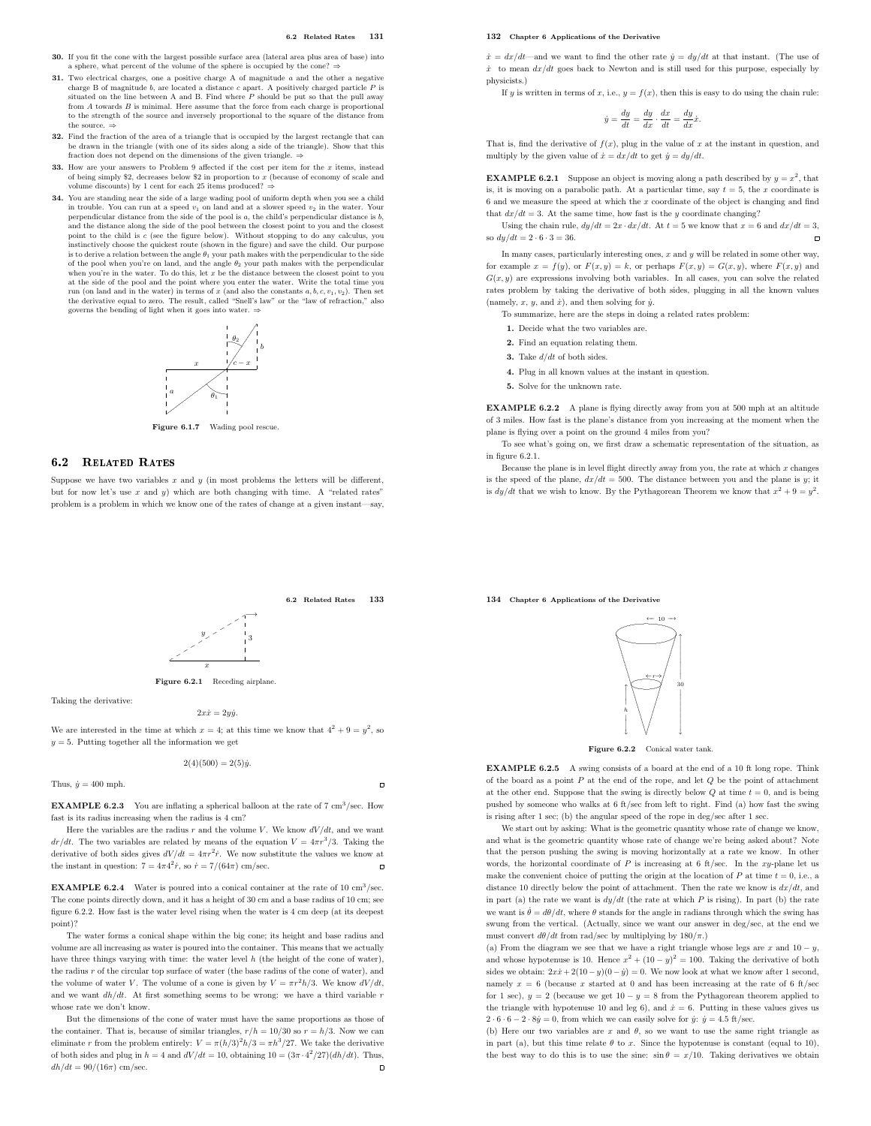#### 6.2 Related Rates 131

6.2 Related Rates 133

- 30. If you fit the cone with the largest possible surface area (lateral area plus area of base) into sphere, what percent of the volume of the sphere is occupied by the cone? =
- 31. Two electrical charges, one a positive charge A of magnitude a and the other a negative charge B of magnitude b, are located a distance c apart. A positively charged particle P is situated on the line between A and B. Find where P should be put so that the pull away from A towards B is minimal. Here assume that the force from each charge is proportional to the strength of the source and inversely proportional to the square of the distance from the source.  $\Rightarrow$
- 32. Find the fraction of the area of a triangle that is occupied by the largest rectangle that can be drawn in the triangle (with one of its sides along a side of the triangle). Show that this fraction does not depend on the dimensions of the given triangle. ⇒
- **33.** How are your answers to Problem 9 affected if the cost per item for the x items, instead of being simply \$2, decreases below \$2 in proportion to x (because of economy of scale and volume discounts) by 1 cent for each 25 items produced?  $\Rightarrow$
- 34. You are standing near the side of a large wading pool of uniform depth when you see a child in trouble. You can run at a speed  $v_1$  on land and at a slower speed  $v_2$  in the water. Your perpendicular distance from the side of the pool is  $a$ , the child's perpendicular distance is  $b$ , and the distance along the side of the pool between the closest point to you and the closest point to the child is  $c$  (see the figure below). Without stopping to do any calculus, you instinctively choose the quickest route (shown in the figure) and save the child. Our purpose is to derive a relation between the angle  $\theta_1$  your path makes with the perpendicular to the side of the pool when you're on land, and the angle  $\theta_2$  your path makes with the perpendicular when you're in the water. To do this, let x be the distance between the closest point to you at the side of the pool and the point where you enter the water. Write the total time you at the side of the pool and the point where you enter the water. Write the total time you run (on land and in the water) in terms of  $x$  (and also the constants  $a, b, c, v_1, v_2$ ). Then set the derivative equal to zero. The result, called "Snell's law" or the "law of refraction," also governs the bending of light when it goes into water. ⇒



Figure 6.1.7 Wading pool rescue

# 6.2 Related Rates

Suppose we have two variables  $x$  and  $y$  (in most problems the letters will be different, but for now let's use  $x$  and  $y$ ) which are both changing with time. A "related rates" problem is a problem in which we know one of the rates of change at a given instant—say,

#### 132 Chapter 6 Applications of the Derivative

 $\dot{x} = dx/dt$ —and we want to find the other rate  $\dot{y} = dy/dt$  at that instant. (The use of  $\dot{x}$  to mean  $dx/dt$  goes back to Newton and is still used for this purpose, especially by physicists.)

If y is written in terms of x, i.e.,  $y = f(x)$ , then this is easy to do using the chain rule:

$$
\dot{y} = \frac{dy}{dt} = \frac{dy}{dx} \cdot \frac{dx}{dt} = \frac{dy}{dx}\dot{x}.
$$

That is, find the derivative of  $f(x)$ , plug in the value of x at the instant in question, and multiply by the given value of  $\dot{x} = dx/dt$  to get  $\dot{y} = dy/dt$ .

**EXAMPLE 6.2.1** Suppose an object is moving along a path described by  $y = x^2$ , that is, it is moving on a parabolic path. At a particular time, say  $t = 5$ , the x coordinate is  $6$  and we measure the speed at which the  $x$  coordinate of the object is changing and find that  $dx/dt = 3$ . At the same time, how fast is the y coordinate changing?

Using the chain rule,  $dy/dt = 2x \cdot dx/dt$ . At  $t = 5$  we know that  $x = 6$  and  $dx/dt = 3$ , so  $dy/dt = 2 \cdot 6 \cdot 3 = 36$ .  $\Box$ 

In many cases, particularly interesting ones,  $x$  and  $y$  will be related in some other way, for example  $x = f(y)$ , or  $F(x, y) = k$ , or perhaps  $F(x, y) = G(x, y)$ , where  $F(x, y)$  and  $G(x, y)$  are expressions involving both variables. In all cases, you can solve the related rates problem by taking the derivative of both sides, plugging in all the known values (namely, x, y, and  $\dot{x}$ ), and then solving for  $\dot{y}$ .

To summarize, here are the steps in doing a related rates problem:

- 1. Decide what the two variables are.
- 2. Find an equation relating them.
- **3.** Take  $d/dt$  of both sides.
- 4. Plug in all known values at the instant in question.
- 5. Solve for the unknown rate.

EXAMPLE 6.2.2 A plane is flying directly away from you at 500 mph at an altitude of 3 miles. How fast is the plane's distance from you increasing at the moment when the plane is flying over a point on the ground 4 miles from you?

To see what's going on, we first draw a schematic representation of the situation, as in figure 6.2.1.

Because the plane is in level flight directly away from you, the rate at which  $x$  changes is the speed of the plane,  $dx/dt = 500$ . The distance between you and the plane is y; it is  $dy/dt$  that we wish to know. By the Pythagorean Theorem we know that  $x^2 + 9 = y^2$ .

#### 134 Chapter 6 Applications of the Derivative



Figure 6.2.1 Receding airplane.

Taking the derivative:

## $2x\dot{x} = 2y\dot{y}$ .

We are interested in the time at which  $x = 4$ ; at this time we know that  $4^2 + 9 = y^2$ , so  $y = 5$ . Putting together all the information we get

 $2(4)(500) = 2(5)i$ 

Thus,  $\dot{y} = 400$  mph.

**EXAMPLE 6.2.3** You are inflating a spherical balloon at the rate of 7 cm<sup>3</sup>/sec. How fast is its radius increasing when the radius is 4 cm?

Here the variables are the radius  $r$  and the volume V. We know  $dV/dt$ , and we want  $dr/dt$ . The two variables are related by means of the equation  $V = 4\pi r^3/3$ . Taking the derivative of both sides gives  $dV/dt = 4\pi r^2 \dot{r}$ . We now substitute the values we know at the instant in question:  $7 = 4\pi 4^2 \dot{r}$ , so  $\dot{r} = 7/(64\pi)$  cm/sec.  $\overline{a}$ 

**EXAMPLE 6.2.4** Water is poured into a conical container at the rate of 10 cm<sup>3</sup>/sec. The cone points directly down, and it has a height of 30 cm and a base radius of 10 cm; see figure 6.2.2. How fast is the water level rising when the water is 4 cm deep (at its deepest point)?

The water forms a conical shape within the big cone; its height and base radius and volume are all increasing as water is poured into the container. This means that we actually have three things varying with time: the water level  $h$  (the height of the cone of water). the radius  $r$  of the circular top surface of water (the base radius of the cone of water), and the volume of water V. The volume of a cone is given by  $V = \pi r^2 h/3$ . We know  $dV/dt$ , and we want  $dh/dt$ . At first something seems to be wrong: we have a third variable  $r$ whose rate we don't know.

But the dimensions of the cone of water must have the same proportions as those of the container. That is, because of similar triangles,  $r/h = 10/30$  so  $r = h/3$ . Now we can eliminate r from the problem entirely:  $V = \pi (h/3)^2 h/3 = \pi h^3/27$ . We take the derivative of both sides and plug in  $h = 4$  and  $dV/dt = 10$ , obtaining  $10 = (3\pi \cdot 4^2/27)(dh/dt)$ . Thus,  $dh/dt = 90/(16\pi)$  cm/sec.  $\Gamma$ 





EXAMPLE 6.2.5 A swing consists of a board at the end of a 10 ft long rope. Think of the board as a point  $P$  at the end of the rope, and let  $Q$  be the point of attachment at the other end. Suppose that the swing is directly below  $Q$  at time  $t = 0$ , and is being pushed by someone who walks at 6 ft/sec from left to right. Find (a) how fast the swing is rising after 1 sec; (b) the angular speed of the rope in deg/sec after 1 sec.

We start out by asking: What is the geometric quantity whose rate of change we know, and what is the geometric quantity whose rate of change we're being asked about? Note that the person pushing the swing is moving horizontally at a rate we know. In other words, the horizontal coordinate of  $P$  is increasing at 6 ft/sec. In the xy-plane let us make the convenient choice of putting the origin at the location of P at time  $t = 0$ , i.e., a distance 10 directly below the point of attachment. Then the rate we know is  $dx/dt$ , and in part (a) the rate we want is  $dy/dt$  (the rate at which  $P$  is rising). In part (b) the rate we want is  $\dot{\theta} = d\theta/dt$ , where  $\theta$  stands for the angle in radians through which the swing has swung from the vertical. (Actually, since we want our answer in deg/sec, at the end we must convert  $d\theta/dt$  from rad/sec by multiplying by  $180/\pi$ .)

(a) From the diagram we see that we have a right triangle whose legs are  $x$  and  $10 - y$ , and whose hypotenuse is 10. Hence  $x^2 + (10 - y)^2 = 100$ . Taking the derivative of both sides we obtain:  $2x\dot{x} + 2(10 - y)(0 - \dot{y}) = 0$ . We now look at what we know after 1 second, namely  $x = 6$  (because x started at 0 and has been increasing at the rate of 6 ft/sec for 1 sec),  $y = 2$  (because we get  $10 - y = 8$  from the Pythagorean theorem applied to the triangle with hypotenuse 10 and leg 6), and  $\dot{x} = 6$ . Putting in these values gives us  $2 \cdot 6 \cdot 6 - 2 \cdot 8 \dot{y} = 0$ , from which we can easily solve for  $\dot{y}$ :  $\dot{y} = 4.5$  ft/sec.

(b) Here our two variables are x and  $\theta$ , so we want to use the same right triangle as in part (a), but this time relate  $\theta$  to x. Since the hypotenuse is constant (equal to 10), the best way to do this is to use the sine:  $\sin \theta = x/10$ . Taking derivatives we obtain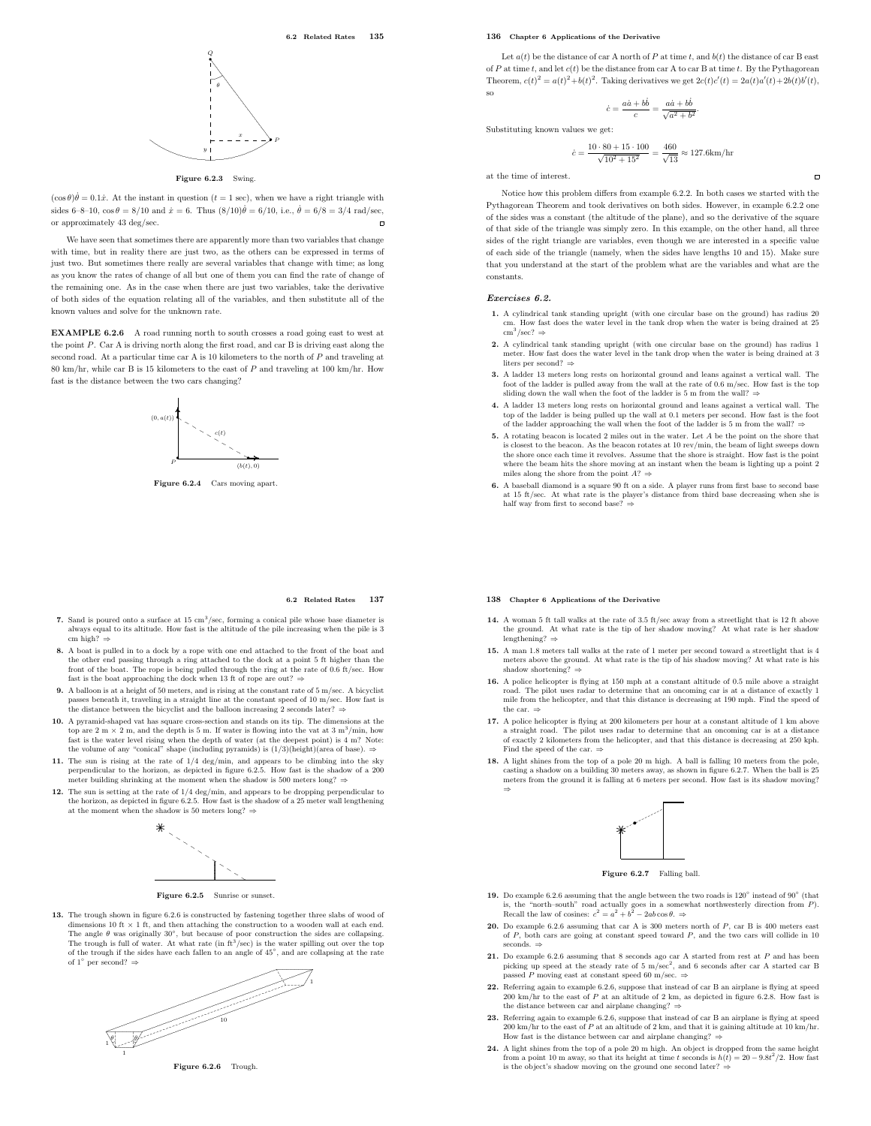

Figure 6.2.3 Swing.

 $(\cos \theta)\dot{\theta} = 0.1\dot{x}$ . At the instant in question  $(t = 1 \text{ sec})$ , when we have a right triangle with sides 6–8–10,  $\cos \theta = 8/10$  and  $\dot{x} = 6$ . Thus  $(8/10)\dot{\theta} = 6/10$ , i.e.,  $\dot{\theta} = 6/8 = 3/4$  rad/sec, or approximately 43 deg/sec.  $\overline{a}$ 

We have seen that sometimes there are apparently more than two variables that change with time, but in reality there are just two, as the others can be expressed in terms of just two. But sometimes there really are several variables that change with time; as long as you know the rates of change of all but one of them you can find the rate of change of the remaining one. As in the case when there are just two variables, take the derivative of both sides of the equation relating all of the variables, and then substitute all of the known values and solve for the unknown rate.

EXAMPLE 6.2.6 A road running north to south crosses a road going east to west at the point P. Car A is driving north along the first road, and car B is driving east along the second road. At a particular time car A is 10 kilometers to the north of P and traveling at 80 km/hr, while car B is 15 kilometers to the east of  $P$  and traveling at 100 km/hr. How fast is the distance between the two cars changing?



Figure 6.2.4 Cars moving apart.

#### 6.2 Related Rates 137

1

- 7. Sand is poured onto a surface at 15 cm<sup>3</sup>/sec, forming a conical pile whose base diameter is always equal to its altitude. How fast is the altitude of the pile increasing when the pile is 3 cm high? ⇒
- 8. A boat is pulled in to a dock by a rope with one end attached to the front of the boat and the other end passing through a ring attached to the dock at a point 5 ft higher than the front of the boat. The rope is being pulled through the ring at the rate of 0.6 ft/sec. How fast is the boat approaching the dock when 13 ft of rope are out?  $\Rightarrow$
- 9. A balloon is at a height of 50 meters, and is rising at the constant rate of 5 m/sec. A bicyclist passes beneath it, traveling in a straight line at the constant speed of 10 m/sec. How fast is the distance between the bicyclist and the balloon increasing 2 seconds later? ⇒
- 10. A pyramid-shaped vat has square cross-section and stands on its tip. The dimensions at the top are 2 m  $\times$  2 m, and the depth is 5 m. If water is flowing into the vat at 3 m<sup>3</sup>/min, how fast is the water level rising when the depth of water (at the deepest point) is 4 m? Note: the volume of any "conical" shape (including pyramids) is  $(1/3)($ height)(area of base).  $\Rightarrow$
- 11. The sun is rising at the rate of 1/4 deg/min, and appears to be climbing into the sky perpendicular to the horizon, as depicted in figure 6.2.5. How fast is the shadow of a 200 ter building shrinking at the moment when the shadow is 500 meters long? ⇒
- 12. The sun is setting at the rate of 1/4 deg/min, and appears to be dropping perpendicular to the horizon, as depicted in figure 6.2.5. How fast is the shadow of a 25 meter wall lengthening at the moment when the shadow is 50 meters long?  $\Rightarrow$



Figure 6.2.5 Sunrise or sunset.

13. The trough shown in figure 6.2.6 is constructed by fastening together three slabs of wood of dimensions 10 ft  $\times$  1 ft, and then attaching the construction to a wooden wall at each end.<br>The angle  $\theta$  was originally 30°, but because of poor construction the sides are collapsing.<br>The trough is full of water. At w of the trough if the sides have each fallen to an angle of 45◦ , and are collapsing at the rate of 1° per second?  $\Rightarrow$ 



Figure 6.2.6 Trough.

#### 136 Chapter 6 Applications of the Derivative

Let  $a(t)$  be the distance of car A north of P at time t, and  $b(t)$  the distance of car B east of P at time t, and let  $c(t)$  be the distance from car A to car B at time t. By the Pythagorean Theorem,  $c(t)^2 = a(t)^2 + b(t)^2$ . Taking derivatives we get  $2c(t)c'(t) = 2a(t)a'(t) + 2b(t)b'(t)$ , so

$$
\dot{c} = \frac{a\dot{a} + b\dot{b}}{c} = \frac{a\dot{a} + b\dot{b}}{\sqrt{a^2 + b^2}}.
$$

Substituting known values we get:

$$
\dot{c} = \frac{10 \cdot 80 + 15 \cdot 100}{\sqrt{10^2 + 15^2}} = \frac{460}{\sqrt{13}} \approx 127.6 \text{km/hr}
$$

 $\Box$ 

at the time of interest.

Notice how this problem differs from example 6.2.2. In both cases we started with the Pythagorean Theorem and took derivatives on both sides. However, in example 6.2.2 one of the sides was a constant (the altitude of the plane), and so the derivative of the square of that side of the triangle was simply zero. In this example, on the other hand, all three sides of the right triangle are variables, even though we are interested in a specific value of each side of the triangle (namely, when the sides have lengths 10 and 15). Make sure that you understand at the start of the problem what are the variables and what are the constants.

#### Exercises 6.2.

- 1. A cylindrical tank standing upright (with one circular base on the ground) has radius 20 cm. How fast does the water level in the tank drop when the water is being drained at 25  $\text{cm}^3/\text{sec}^2 \Rightarrow$
- 2. A cylindrical tank standing upright (with one circular base on the ground) has radius 1 meter. How fast does the water level in the tank drop when the water is being drained at 3 liters per second? ⇒
- 3. A ladder 13 meters long rests on horizontal ground and leans against a vertical wall. The foot of the ladder is pulled away from the wall at the rate of 0.6 m/sec. How fast is the top sliding down the wall when the foot of the ladder is 5 m from the wall?  $\Rightarrow$
- 4. A ladder 13 meters long rests on horizontal ground and leans against a vertical wall. The top of the ladder is being pulled up the wall at 0.1 meters per second. How fast is the foot of the ladder approaching the wall when the foot of the ladder is 5 m from the wall?  $\Rightarrow$
- 5. A rotating beacon is located 2 miles out in the water. Let A be the point on the shore that is closest to the beacon. As the beacon rotates at 10 rev/min, the beam of light sweeps down the shore once each time it revolves. Assume that the shore is straight. How fast is the point where the beam hits the shore moving at an instant when the beam is lighting up a point 2 miles along the shore from the point  $A? \Rightarrow$
- 6. A baseball diamond is a square 90 ft on a side. A player runs from first base to second base at 15 ft/sec. At what rate is the player's distance from third base decreasing when she is half way from first to second base?  $\Rightarrow$

#### 138 Chapter 6 Applications of the Derivative

- 14. A woman 5 ft tall walks at the rate of 3.5 ft/sec away from a streetlight that is 12 ft above the ground. At what rate is the tip of her shadow moving? At what rate is her shadow lengthening? ⇒
- 15. A man 1.8 meters tall walks at the rate of 1 meter per second toward a streetlight that is 4 meters above the ground. At what rate is the tip of his shadow moving? At what rate is his shadow shortening? ⇒
- 16. A police helicopter is flying at 150 mph at a constant altitude of 0.5 mile above a straight road. The pilot uses radar to determine that an oncoming car is at a distance of exactly 1 mile from the helicopter, and that this distance is decreasing at 190 mph. Find the speed of the car. ⇒
- 17. A police helicopter is flying at 200 kilometers per hour at a constant altitude of 1 km above a straight road. The pilot uses radar to determine that an oncoming car is at a distance of exactly 2 kilometers from the helicopter, and that this distance is decreasing at 250 kph. Find the speed of the car.  $\Rightarrow$
- 18. A light shines from the top of a pole 20 m high. A ball is falling 10 meters from the pole, casting a shadow on a building 30 meters away, as shown in figure 6.2.7. When the ball is 25 meters from the ground it is falling at 6 meters per second. How fast is its shadow moving? ⇒



Figure 6.2.7 Falling ball.

- 19. Do example 6.2.6 assuming that the angle between the two roads is 120° instead of 90° (that is, the "north–south" road actually goes in a somewhat northwesterly direction from *P*).<br>Recall the law of cosines:  $c^2 = a^2 + b^2 - 2ab \cos \theta$ . ⇒
- 20. Do example 6.2.6 assuming that car A is 300 meters north of P, car B is 400 meters east of P, both cars are going at constant speed toward P, and the two cars will collide in 10
- seconds. ⇒<br>21. Do example 6.2.6 assuming that 8 seconds ago car A started from rest at P and has been<br>picking up speed at the steady rate of 5 m/sec<sup>2</sup>, and 6 seconds after car A started car B assed P moving east at constant speed 60 m/sec.  $\Rightarrow$
- 22. Referring again to example 6.2.6, suppose that instead of car B an airplane is flying at speed 200 km/hr to the east of P at an altitude of 2 km, as depicted in figure 6.2.8. How fast is the distance between car and airplane changing?  $\Rightarrow$
- 23. Referring again to example 6.2.6, suppose that instead of car B an airplane is flying at speed 200 km/hr to the east of P at an altitude of 2 km, and that it is gaining altitude at 10 km/hr.<br>How fast is the distance between car and airplane changing?  $\Rightarrow$
- **24.** A light shines from the top of a pole 20 m high. An object is dropped from the same height from a point 10 m away, so that its height at time *t* seconds is  $h(t) = 20 9.8t^2/2$ . How fast is the object's shadow movin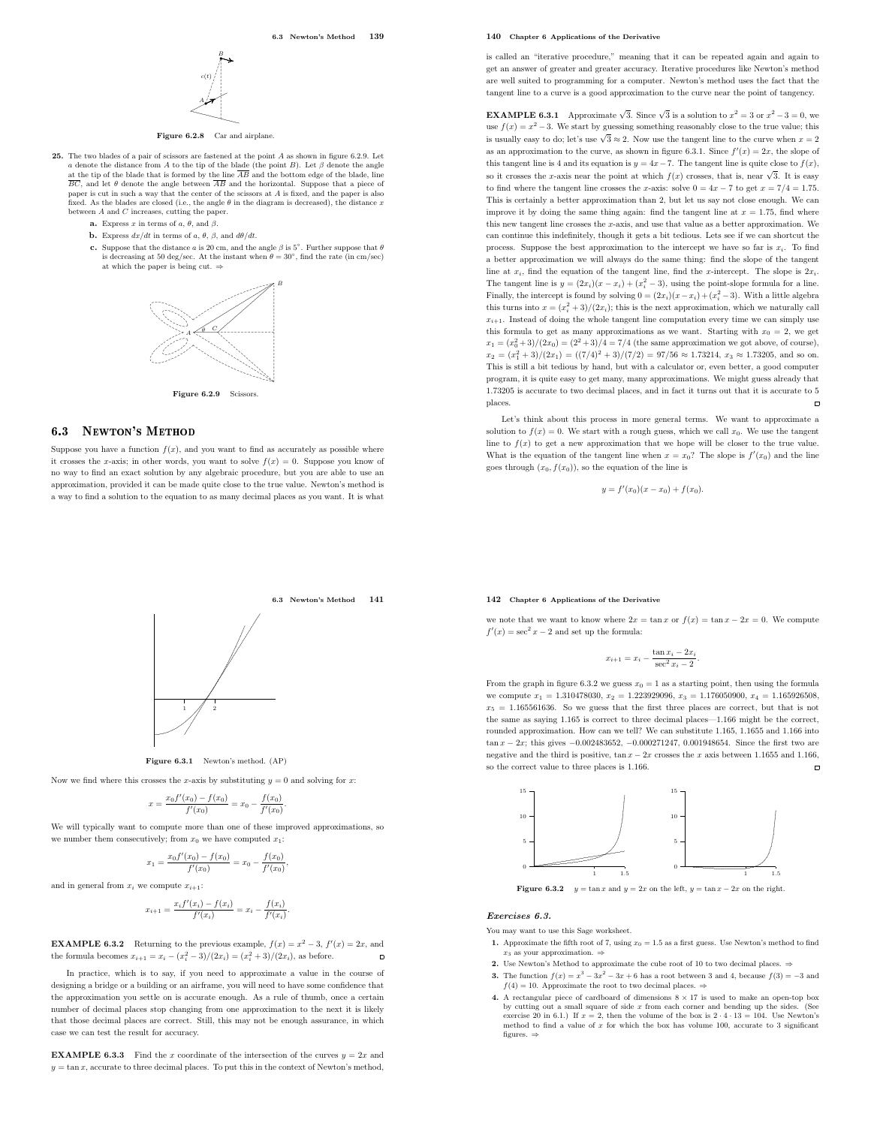

Figure  $6.2.8$  Car and airplane.

- 25. The two blades of a pair of scissors are fastened at the point A as shown in figure 6.2.9. Let distance from A to the tip of the blade (the point B). Let  $\beta$  denote the angle at the tip of the blade that is formed by the line  $AB$  and the bottom edge of the blade, line  $\overline{BC}$ , and let  $\theta$  denote the angle between  $\overline{AB}$  and the horizontal. Suppose that a piece of paper is cut in such a way that the center of the scissors at A is fixed, and the paper is also fixed. As the blades are closed (i.e., the angle  $\theta$  in the diagram is decreased), the distance x between A and C increases, cutting the paper.
	- a. Express x in terms of a,  $θ$ , and  $β$ .
	- **b.** Express  $dx/dt$  in terms of a,  $\theta$ ,  $\beta$ , and  $d\theta/dt$ .
	- c. Suppose that the distance a is 20 cm, and the angle  $\beta$  is 5°. Further suppose that  $\theta$ is decreasing at 50 deg/sec. At the instant when  $\theta = 30^{\circ}$ , find the rate (in cm/sec) at which the paper is being cut.  $\Rightarrow$



Figure 6.2.9 Scissors

### 6.3 Newton's Method

Suppose you have a function  $f(x)$ , and you want to find as accurately as possible where it crosses the x-axis; in other words, you want to solve  $f(x) = 0$ . Suppose you know of no way to find an exact solution by any algebraic procedure, but you are able to use an approximation, provided it can be made quite close to the true value. Newton's method is a way to find a solution to the equation to as many decimal places as you want. It is what

### 140 Chapter 6 Applications of the Derivative

is called an "iterative procedure," meaning that it can be repeated again and again to get an answer of greater and greater accuracy. Iterative procedures like Newton's method are well suited to programming for a computer. Newton's method uses the fact that the tangent line to a curve is a good approximation to the curve near the point of tangency.

**EXAMPLE 6.3.1** Approximate  $\sqrt{3}$ . Since  $\sqrt{3}$  is a solution to  $x^2 = 3$  or  $x^2 - 3 = 0$ , we use  $f(x) = x^2 - 3$ . We start by guessing something reasonably close to the true value; this is usually easy to do; let's use  $\sqrt{3} \approx 2$ . Now use the tangent line to the curve when  $x = 2$ as an approximation to the curve, as shown in figure 6.3.1. Since  $f'(x) = 2x$ , the slope of this tangent line is 4 and its equation is  $y = 4x-7$ . The tangent line is quite close to  $f(x)$ , so it crosses the x-axis near the point at which  $f(x)$  crosses, that is, near  $\sqrt{3}$ . It is easy to find where the tangent line crosses the x-axis: solve  $0 = 4x - 7$  to get  $x = 7/4 = 1.75$ . This is certainly a better approximation than 2, but let us say not close enough. We can improve it by doing the same thing again: find the tangent line at  $x = 1.75$ , find where this new tangent line crosses the x-axis, and use that value as a better approximation. We can continue this indefinitely, though it gets a bit tedious. Lets see if we can shortcut the process. Suppose the best approximation to the intercept we have so far is  $x_i$ . To find a better approximation we will always do the same thing: find the slope of the tangent line at  $x_i$ , find the equation of the tangent line, find the x-intercept. The slope is  $2x_i$ . The tangent line is  $y = (2x_i)(x - x_i) + (x_i^2 - 3)$ , using the point-slope formula for a line. Finally, the intercept is found by solving  $0 = (2x_i)(x - x_i) + (x_i^2 - 3)$ . With a little algebra this turns into  $x = (x_i^2 + 3)/(2x_i)$ ; this is the next approximation, which we naturally call  $x_{i+1}$ . Instead of doing the whole tangent line computation every time we can simply use this formula to get as many approximations as we want. Starting with  $x_0 = 2$ , we get  $x_1 = (x_0^2 + 3)/(2x_0) = (2^2 + 3)/4 = 7/4$  (the same approximation we got above, of course),  $x_2 = (x_1^2 + 3)/(2x_1) = ((7/4)^2 + 3)/(7/2) = 97/56 \approx 1.73214, x_3 \approx 1.73205,$  and so on. This is still a bit tedious by hand, but with a calculator or, even better, a good computer program, it is quite easy to get many, many approximations. We might guess already that 1.73205 is accurate to two decimal places, and in fact it turns out that it is accurate to 5 places.  $\overline{a}$ 

Let's think about this process in more general terms. We want to approximate a solution to  $f(x) = 0$ . We start with a rough guess, which we call  $x_0$ . We use the tangent line to  $f(x)$  to get a new approximation that we hope will be closer to the true value. What is the equation of the tangent line when  $x = x_0$ ? The slope is  $f'(x_0)$  and the line goes through  $(x_0, f(x_0))$ , so the equation of the line is

$$
y = f'(x_0)(x - x_0) + f(x_0).
$$

### 142 Chapter 6 Applications of the Derivative

we note that we want to know where  $2x = \tan x$  or  $f(x) = \tan x - 2x = 0$ . We compute  $f'(x) = \sec^2 x - 2$  and set up the formula:

$$
x_{i+1} = x_i - \frac{\tan x_i - 2x_i}{\sec^2 x_i - 2}.
$$

From the graph in figure 6.3.2 we guess  $x_0 = 1$  as a starting point, then using the formula we compute  $x_1 = 1.310478030$ ,  $x_2 = 1.223929096$ ,  $x_3 = 1.176050900$ ,  $x_4 = 1.165926508$ .  $x_5 = 1.165561636$ . So we guess that the first three places are correct, but that is not the same as saying 1.165 is correct to three decimal places—1.166 might be the correct, rounded approximation. How can we tell? We can substitute 1.165, 1.1655 and 1.166 into tan  $x - 2x$ ; this gives  $-0.002483652$ ,  $-0.000271247$ , 0.001948654. Since the first two are negative and the third is positive, tan  $x - 2x$  crosses the x axis between 1.1655 and 1.166, so the correct value to three places is 1.166.  $\Box$ 



Figure 6.3.2 y = tan x and y = 2x on the left, y = tan x – 2x on the right.

# Exercises 6.3.

- You may want to use this Sage worksheet.
- 1. Approximate the fifth root of 7, using  $x_0 = 1.5$  as a first guess. Use Newton's method to find  $x_3$  as your approximation.  $\Rightarrow$
- 2. Use Newton's Method to approximate the cube root of 10 to two decimal places.  $⇒$
- 3. The function  $f(x) = x^3 3x^2 3x + 6$  has a root between 3 and 4, because  $f(3) = -3$  and  $f(4)=10.$  Approximate the root to two decimal places.  $\Rightarrow$
- 4. A rectangular piece of cardboard of dimensions  $8 \times 17$  is used to make an open-top box by cutting out a small square of side x from each corner and bending up the sides. (See all square of side  $x$  from each corner and bending up the sides. exercise 20 in 6.1.) If  $x = 2$ , then the volume of the box is  $2 \cdot 4 \cdot 13 = 104$ . Use Newton's method to find a value of x for which the box has volume 100, accurate to 3 significant figures. ⇒



Figure 6.3.1 Newton's method. (AP)

Now we find where this crosses the x-axis by substituting  $y = 0$  and solving for x:

$$
x = \frac{x_0 f'(x_0) - f(x_0)}{f'(x_0)} = x_0 - \frac{f(x_0)}{f'(x_0)}.
$$

We will typically want to compute more than one of these improved approximations, so we number them consecutively; from  $x_0$  we have computed  $x_1$ :

$$
x_1 = \frac{x_0 f'(x_0) - f(x_0)}{f'(x_0)} = x_0 - \frac{f(x_0)}{f'(x_0)},
$$

and in general from  $x_i$  we compute  $x_{i+1}$ :

$$
x_{i+1} = \frac{x_i f'(x_i) - f(x_i)}{f'(x_i)} = x_i - \frac{f(x_i)}{f'(x_i)}.
$$

**EXAMPLE 6.3.2** Returning to the previous example,  $f(x) = x^2 - 3$ ,  $f'(x) = 2x$ , and the formula becomes  $x_{i+1} = x_i - (x_i^2 - 3)/(2x_i) = (x_i^2 + 3)/(2x_i)$ , as before.  $\Box$ 

In practice, which is to say, if you need to approximate a value in the course of designing a bridge or a building or an airframe, you will need to have some confidence that the approximation you settle on is accurate enough. As a rule of thumb, once a certain number of decimal places stop changing from one approximation to the next it is likely that those decimal places are correct. Still, this may not be enough assurance, in which case we can test the result for accuracy.

**EXAMPLE 6.3.3** Find the x coordinate of the intersection of the curves  $y = 2x$  and  $y = \tan x$ , accurate to three decimal places. To put this in the context of Newton's method,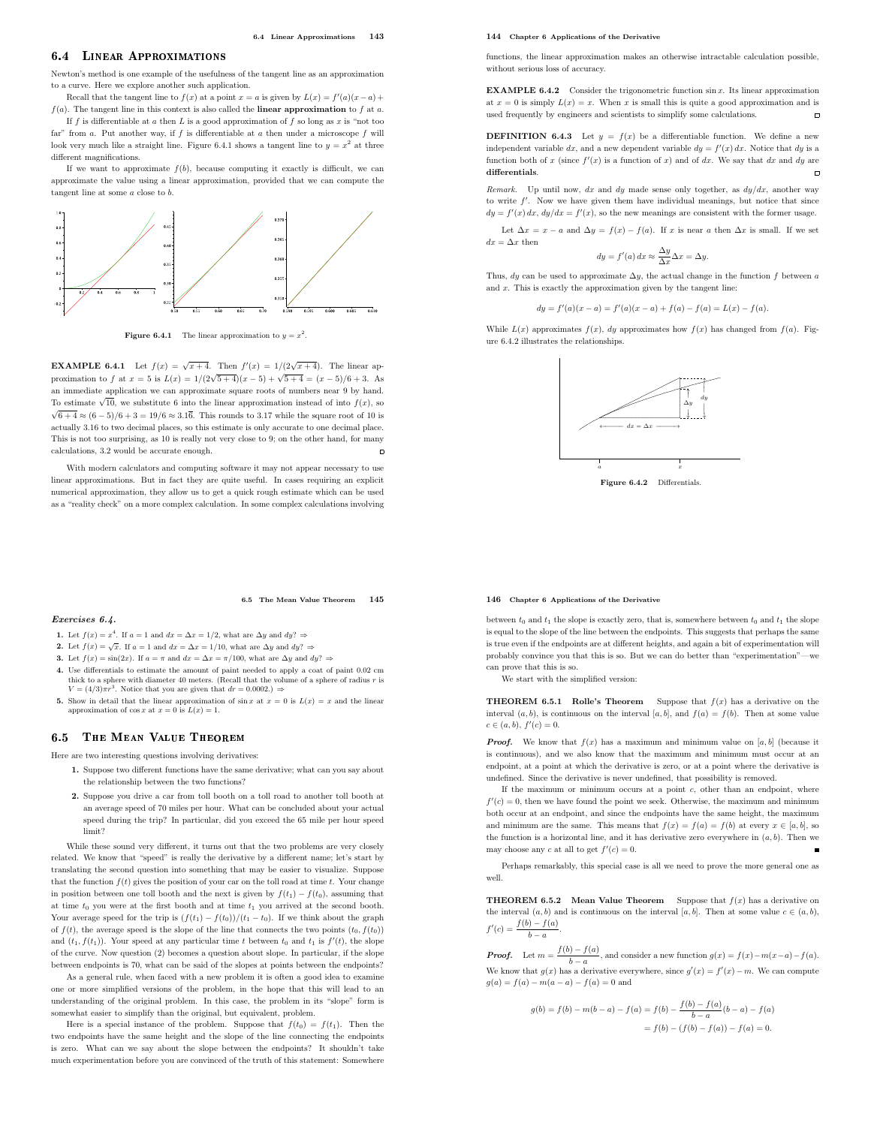# 6.4 Linear Approximations

Newton's method is one example of the usefulness of the tangent line as an approximation to a curve. Here we explore another such application.

Recall that the tangent line to  $f(x)$  at a point  $x = a$  is given by  $L(x) = f'(a)(x - a) +$  $f(a)$ . The tangent line in this context is also called the **linear approximation** to f at a.

If  $f$  is differentiable at  $a$  then  $L$  is a good approximation of  $f$  so long as  $x$  is "not too far" from  $a$ . Put another way, if  $f$  is differentiable at  $a$  then under a microscope  $f$  will look very much like a straight line. Figure 6.4.1 shows a tangent line to  $y = x^2$  at three different magnifications.

If we want to approximate  $f(b)$ , because computing it exactly is difficult, we can approximate the value using a linear approximation, provided that we can compute the tangent line at some a close to b.



**Figure 6.4.1** The linear approximation to  $y = x^2$ .

**EXAMPLE 6.4.1** Let  $f(x) = \sqrt{x+4}$ . Then  $f'(x) = 1/(2\sqrt{x+4})$ . The linear approximation to f at  $x = 5$  is  $L(x) = 1/(2\sqrt{5+4})(x-5) + \sqrt{5+4} = (x-5)/6 + 3$ . As an immediate application we can approximate square roots of numbers near 9 by hand. To estimate  $\sqrt{10}$ , we substitute 6 into the linear approximation instead of into  $f(x)$ , so  $\sqrt{6+4} \approx (6-5)/6 + 3 = 19/6 \approx 3.1\overline{6}$ . This rounds to 3.17 while the square root of 10 is actually 3.16 to two decimal places, so this estimate is only accurate to one decimal place. This is not too surprising, as 10 is really not very close to 9; on the other hand, for many calculations, 3.2 would be accurate enough.

With modern calculators and computing software it may not appear necessary to use linear approximations. But in fact they are quite useful. In cases requiring an explicit numerical approximation, they allow us to get a quick rough estimate which can be used as a "reality check" on a more complex calculation. In some complex calculations involving

#### 6.5 The Mean Value Theorem 145

### Exercises 6.4.

- 1. Let  $f(x) = x^4$ . If  $a = 1$  and  $dx = \Delta x = 1/2$ , what are  $\Delta y$  and  $dy$ ?  $\Rightarrow$
- 2. Let  $f(x) = \sqrt{x}$ . If  $a = 1$  and  $dx = \Delta x = 1/10$ , what are  $\Delta y$  and  $dy$ ?  $\Rightarrow$
- **3.** Let  $f(x) = \sin(2x)$ . If  $a = \pi$  and  $dx = \Delta x = \pi/100$ , what are  $\Delta y$  and  $dy$ ? ⇒
- 4. Use differentials to estimate the amount of paint needed to apply a coat of paint 0.02 cm thick to a sphere with diameter 40 meters. (Recall that the volume of a sphere of radius r is  $V=(4/3)\pi r^3.$  Notice that you are given that  $dr=0.0002.)$   $\Rightarrow$
- 5. Show in detail that the linear approximation of  $\sin x$  at  $x = 0$  is  $L(x) = x$  and the linear approximation of cos x at  $x = 0$  is  $L(x) = 1$ .

### 6.5 The Mean Value Theorem

Here are two interesting questions involving derivatives:

- 1. Suppose two different functions have the same derivative; what can you say about the relationship between the two functions?
- 2. Suppose you drive a car from toll booth on a toll road to another toll booth at an average speed of 70 miles per hour. What can be concluded about your actual speed during the trip? In particular, did you exceed the 65 mile per hour speed limit?

While these sound very different, it turns out that the two problems are very closely related. We know that "speed" is really the derivative by a different name; let's start by translating the second question into something that may be easier to visualize. Suppose that the function  $f(t)$  gives the position of your car on the toll road at time t. Your change in position between one toll booth and the next is given by  $f(t_1) - f(t_0)$ , assuming that at time  $t_0$  you were at the first booth and at time  $t_1$  you arrived at the second booth. Your average speed for the trip is  $(f(t_1) - f(t_0))/(t_1 - t_0)$ . If we think about the graph of  $f(t)$ , the average speed is the slope of the line that connects the two points  $(t_0, f(t_0))$ and  $(t_1, f(t_1))$ . Your speed at any particular time t between  $t_0$  and  $t_1$  is  $f'(t)$ , the slope of the curve. Now question (2) becomes a question about slope. In particular, if the slope between endpoints is 70, what can be said of the slopes at points between the endpoints?

As a general rule, when faced with a new problem it is often a good idea to examine one or more simplified versions of the problem, in the hope that this will lead to an understanding of the original problem. In this case, the problem in its "slope" form is somewhat easier to simplify than the original, but equivalent, problem.

Here is a special instance of the problem. Suppose that  $f(t_0) = f(t_1)$ . Then the two endpoints have the same height and the slope of the line connecting the endpoints is zero. What can we say about the slope between the endpoints? It shouldn't take much experimentation before you are convinced of the truth of this statement: Somewhere

#### 144 Chapter 6 Applications of the Derivative

functions, the linear approximation makes an otherwise intractable calculation possible, without serious loss of accuracy.

**EXAMPLE 6.4.2** Consider the trigonometric function  $\sin x$ . Its linear approximation at  $x = 0$  is simply  $L(x) = x$ . When x is small this is quite a good approximation and is used frequently by engineers and scientists to simplify some calculations.  $\blacksquare$ 

**DEFINITION 6.4.3** Let  $y = f(x)$  be a differentiable function. We define a new independent variable dx, and a new dependent variable  $dy = f'(x) dx$ . Notice that dy is a function both of x (since  $f'(x)$  is a function of x) and of dx. We say that dx and dy are differentials.

Remark. Up until now, dx and dy made sense only together, as  $du/dx$ , another way to write  $f'$ . Now we have given them have individual meanings, but notice that since  $dy = f'(x) dx$ ,  $dy/dx = f'(x)$ , so the new meanings are consistent with the former usage.

Let  $\Delta x = x - a$  and  $\Delta y = f(x) - f(a)$ . If x is near a then  $\Delta x$  is small. If we set  $dx = \Delta x$  then

$$
dy = f'(a) dx \approx \frac{\Delta y}{\Delta x} \Delta x = \Delta y.
$$

Thus, dy can be used to approximate  $\Delta y$ , the actual change in the function f between a and  $x$ . This is exactly the approximation given by the tangent line:

 $dy = f'(a)(x - a) = f'(a)(x - a) + f(a) - f(a) = L(x) - f(a).$ 

While  $L(x)$  approximates  $f(x)$ , dy approximates how  $f(x)$  has changed from  $f(a)$ . Figure 6.4.2 illustrates the relationships.



Figure 6.4.2 Differentials.

### 146 Chapter 6 Applications of the Derivative

between  $t_0$  and  $t_1$  the slope is exactly zero, that is, somewhere between  $t_0$  and  $t_1$  the slope is equal to the slope of the line between the endpoints. This suggests that perhaps the same is true even if the endpoints are at different heights, and again a bit of experimentation will probably convince you that this is so. But we can do better than "experimentation"—we can prove that this is so.

We start with the simplified version:

**THEOREM 6.5.1 Rolle's Theorem** Suppose that  $f(x)$  has a derivative on the interval  $(a, b)$ , is continuous on the interval  $[a, b]$ , and  $f(a) = f(b)$ . Then at some value  $c \in (a, b), f'(c) = 0.$ 

**Proof.** We know that  $f(x)$  has a maximum and minimum value on  $[a, b]$  (because it is continuous), and we also know that the maximum and minimum must occur at an endpoint, at a point at which the derivative is zero, or at a point where the derivative is undefined. Since the derivative is never undefined, that possibility is removed.

If the maximum or minimum occurs at a point  $c$ , other than an endpoint, where  $f'(c) = 0$ , then we have found the point we seek. Otherwise, the maximum and minimum both occur at an endpoint, and since the endpoints have the same height, the maximum and minimum are the same. This means that  $f(x) = f(a) = f(b)$  at every  $x \in [a, b]$ , so the function is a horizontal line, and it has derivative zero everywhere in  $(a, b)$ . Then we may choose any c at all to get  $f'(c) = 0$ .

Perhaps remarkably, this special case is all we need to prove the more general one as well.

**THEOREM 6.5.2** Mean Value Theorem Suppose that  $f(x)$  has a derivative on the interval  $(a, b)$  and is continuous on the interval  $[a, b]$ . Then at some value  $c \in (a, b)$ ,  $f'(c) = \frac{f(b) - f(a)}{b - a}.$ 

**Proof.** Let  $m = \frac{f(b) - f(a)}{b - a}$ , and consider a new function  $g(x) = f(x) - m(x - a) - f(a)$ . We know that  $g(x)$  has a derivative everywhere, since  $g'(x) = f'(x) - m$ . We can compute  $g(a) = f(a) - m(a - a) - f(a) = 0$  and

$$
g(b) = f(b) - m(b - a) - f(a) = f(b) - \frac{f(b) - f(a)}{b - a}(b - a) - f(a)
$$

$$
= f(b) - (f(b) - f(a)) - f(a) = 0.
$$